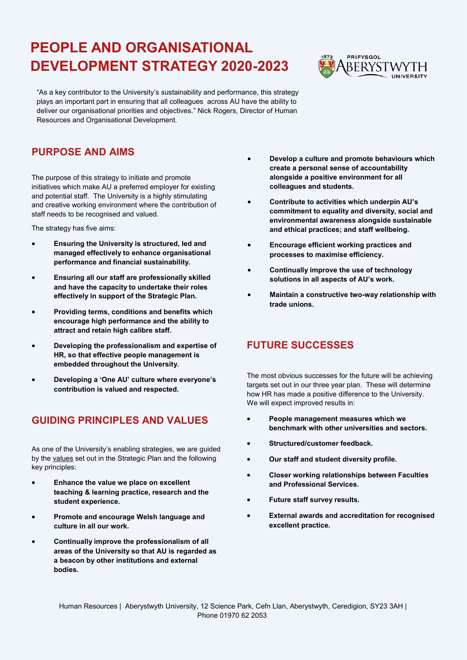## **PEOPLE AND ORGANISATIONAL DEVELOPMENT STRATEGY 2020-2023**



"As a key contributor to the University's sustainability and performance, this strategy plays an important part in ensuring that all colleagues across AU have the ability to deliver our organisational priorities and objectives." Nick Rogers, Director of Human Resources and Organisational Development.

## **PURPOSE AND AIMS**

The purpose of this strategy to initiate and promote initiatives which make AU a preferred employer for existing and potential staff. The University is a highly stimulating and creative working environment where the contribution of staff needs to be recognised and valued.

The strategy has five aims:

- **Ensuring the University is structured, led and managed effectively to enhance organisational performance and financial sustainability.**
- **Ensuring all our staff are professionally skilled and have the capacity to undertake their roles effectively in support of the Strategic Plan.**
- **Providing terms, conditions and benefits which encourage high performance and the ability to attract and retain high calibre staff.**
- **Developing the professionalism and expertise of HR, so that effective people management is embedded throughout the University.**
- **Developing a 'One AU' culture where everyone's contribution is valued and respected.**

## **GUIDING PRINCIPLES AND VALUES**

As one of the University's enabling strategies, we are guided by the [values](https://www.aber.ac.uk/en/strategicplan/) set out in the Strategic Plan and the following key principles:

- **Enhance the value we place on excellent teaching & learning practice, research and the student experience.**
- **Promote and encourage Welsh language and culture in all our work.**
- **Continually improve the professionalism of all areas of the University so that AU is regarded as a beacon by other institutions and external bodies.**
- **Develop a culture and promote behaviours which create a personal sense of accountability alongside a positive environment for all colleagues and students.**
- **Contribute to activities which underpin AU's commitment to equality and diversity, social and environmental awareness alongside sustainable and ethical practices; and staff wellbeing.**
- **Encourage efficient working practices and processes to maximise efficiency.**
- **Continually improve the use of technology solutions in all aspects of AU's work.**
- **Maintain a constructive two-way relationship with trade unions.**

## **FUTURE SUCCESSES**

The most obvious successes for the future will be achieving targets set out in our three year plan. These will determine how HR has made a positive difference to the University. We will expect improved results in:

- **People management measures which we benchmark with other universities and sectors.**
- **Structured/customer feedback.**
- **Our staff and student diversity profile.**
- **Closer working relationships between Faculties and Professional Services.**
- **Future staff survey results.**
- **External awards and accreditation for recognised excellent practice.**